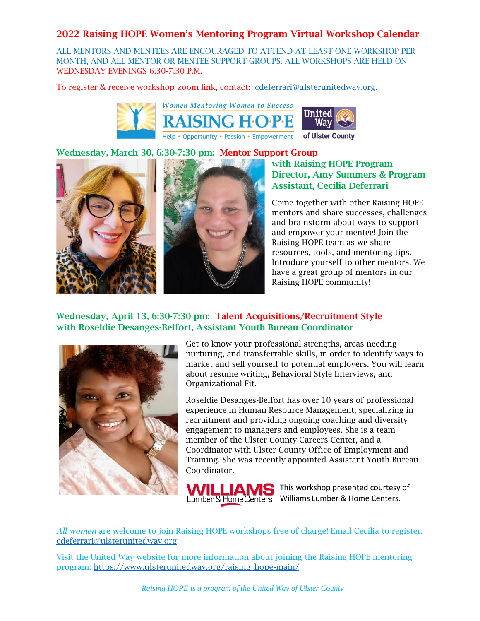ALL MENTORS AND MENTEES ARE ENCOURAGED TO ATTEND AT LEAST ONE WORKSHOP PER MONTH, AND ALL MENTOR OR MENTEE SUPPORT GROUPS. ALL WORKSHOPS ARE HELD ON WEDNESDAY EVENINGS 6:30-7:30 P.M.

To register & receive workshop zoom link, contact: [cdeferrari@ulsterunitedway.org.](mailto:cdeferrari@ulsterunitedway.org)



#### Wednesday, March 30, 6:30-7:30 pm: Mentor Support Group



## with Raising HOPE Program Director, Amy Summers & Program Assistant, Cecilia Deferrari

Come together with other Raising HOPE mentors and share successes, challenges and brainstorm about ways to support and empower your mentee! Join the Raising HOPE team as we share resources, tools, and mentoring tips. Introduce yourself to other mentors. We have a great group of mentors in our Raising HOPE community!

#### Wednesday, April 13, 6:30-7:30 pm: Talent Acquisitions/Recruitment Style with Roseldie Desanges-Belfort, Assistant Youth Bureau Coordinator



Get to know your professional strengths, areas needing nurturing, and transferrable skills, in order to identify ways to market and sell yourself to potential employers. You will learn about resume writing, Behavioral Style Interviews, and Organizational Fit.

Roseldie Desanges-Belfort has over 10 years of professional experience in Human Resource Management; specializing in recruitment and providing ongoing coaching and diversity engagement to managers and employees. She is a team member of the Ulster County Careers Center, and a Coordinator with Ulster County Office of Employment and Training. She was recently appointed Assistant Youth Bureau Coordinator.



*All women* are welcome to join Raising HOPE workshops free of charge! Email Cecilia to register: [cdeferrari@ulsterunitedway.org.](mailto:cdeferrari@ulsterunitedway.org)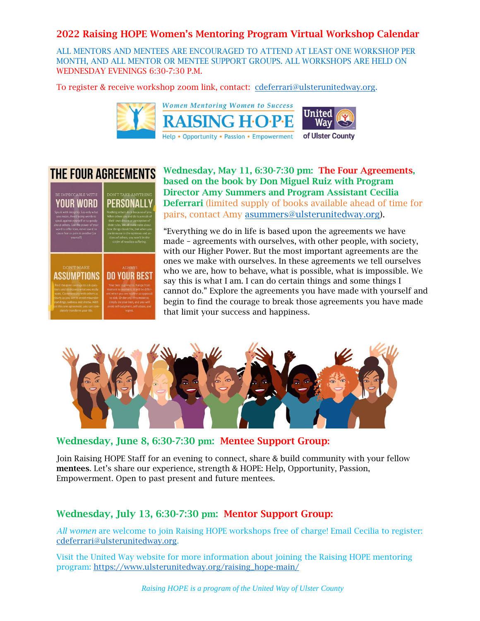ALL MENTORS AND MENTEES ARE ENCOURAGED TO ATTEND AT LEAST ONE WORKSHOP PER MONTH, AND ALL MENTOR OR MENTEE SUPPORT GROUPS. ALL WORKSHOPS ARE HELD ON WEDNESDAY EVENINGS 6:30-7:30 P.M.

To register & receive workshop zoom link, contact: [cdeferrari@ulsterunitedway.org.](mailto:cdeferrari@ulsterunitedway.org)





Wednesday, May 11, 6:30-7:30 pm: The Four Agreements, based on the book by Don Miguel Ruiz with Program Director Amy Summers and Program Assistant Cecilia Deferrari (limited supply of books available ahead of time for pairs, contact Amy [asummers@ulsterunitedway.org\)](mailto:asummers@ulsterunitedway.org).

"Everything we do in life is based upon the agreements we have made – agreements with ourselves, with other people, with society, with our Higher Power. But the most important agreements are the ones we make with ourselves. In these agreements we tell ourselves who we are, how to behave, what is possible, what is impossible. We say this is what I am. I can do certain things and some things I cannot do." Explore the agreements you have made with yourself and begin to find the courage to break those agreements you have made that limit your success and happiness.



Wednesday, June 8, 6:30-7:30 pm: Mentee Support Group:

Join Raising HOPE Staff for an evening to connect, share & build community with your fellow mentees. Let's share our experience, strength & HOPE: Help, Opportunity, Passion, Empowerment. Open to past present and future mentees.

# Wednesday, July 13, 6:30-7:30 pm: Mentor Support Group:

*All women* are welcome to join Raising HOPE workshops free of charge! Email Cecilia to register: [cdeferrari@ulsterunitedway.org.](mailto:cdeferrari@ulsterunitedway.org)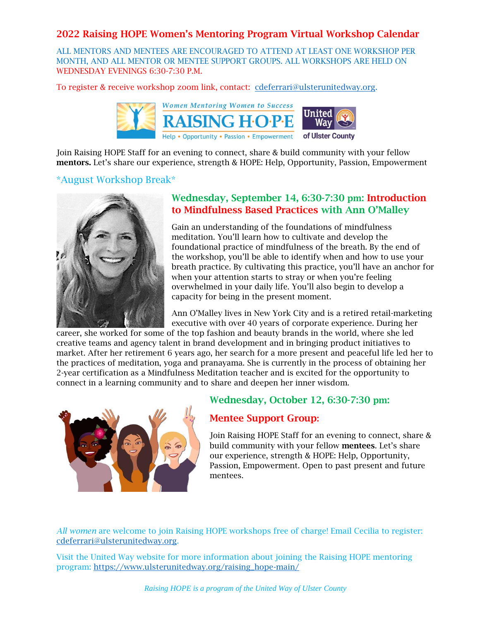ALL MENTORS AND MENTEES ARE ENCOURAGED TO ATTEND AT LEAST ONE WORKSHOP PER MONTH, AND ALL MENTOR OR MENTEE SUPPORT GROUPS. ALL WORKSHOPS ARE HELD ON WEDNESDAY EVENINGS 6:30-7:30 P.M.

To register & receive workshop zoom link, contact: [cdeferrari@ulsterunitedway.org.](mailto:cdeferrari@ulsterunitedway.org)



Join Raising HOPE Staff for an evening to connect, share & build community with your fellow mentors. Let's share our experience, strength & HOPE: Help, Opportunity, Passion, Empowerment

#### \*August Workshop Break\*



## Wednesday, September 14, 6:30-7:30 pm: Introduction to Mindfulness Based Practices with Ann O'Malley

Gain an understanding of the foundations of mindfulness meditation. You'll learn how to cultivate and develop the foundational practice of mindfulness of the breath. By the end of the workshop, you'll be able to identify when and how to use your breath practice. By cultivating this practice, you'll have an anchor for when your attention starts to stray or when you're feeling overwhelmed in your daily life. You'll also begin to develop a capacity for being in the present moment.

Ann O'Malley lives in New York City and is a retired retail-marketing executive with over 40 years of corporate experience. During her

career, she worked for some of the top fashion and beauty brands in the world, where she led creative teams and agency talent in brand development and in bringing product initiatives to market. After her retirement 6 years ago, her search for a more present and peaceful life led her to the practices of meditation, yoga and pranayama. She is currently in the process of obtaining her 2-year certification as a Mindfulness Meditation teacher and is excited for the opportunity to connect in a learning community and to share and deepen her inner wisdom.



## Wednesday, October 12, 6:30-7:30 pm:

## Mentee Support Group:

Join Raising HOPE Staff for an evening to connect, share & build community with your fellow mentees. Let's share our experience, strength & HOPE: Help, Opportunity, Passion, Empowerment. Open to past present and future mentees.

*All women* are welcome to join Raising HOPE workshops free of charge! Email Cecilia to register: [cdeferrari@ulsterunitedway.org.](mailto:cdeferrari@ulsterunitedway.org)